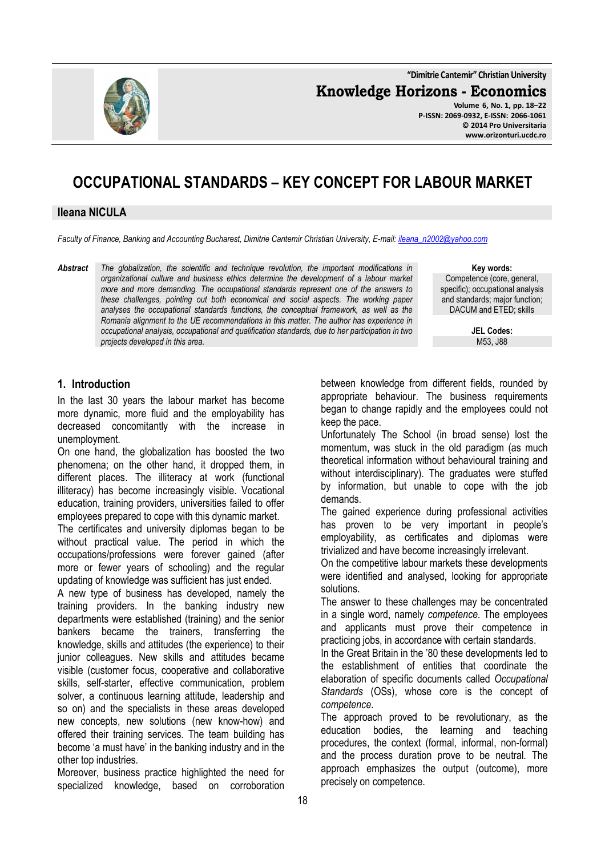**"Dimitrie Cantemir" Christian University**

**Knowledge Horizons - Economics**



**Volume 6, No. 1, pp. 18–22 P-ISSN: 2069-0932, E-ISSN: 2066-1061 © 2014 Pro Universitaria www.orizonturi.ucdc.ro**

# **OCCUPATIONAL STANDARDS – KEY CONCEPT FOR LABOUR MARKET**

#### **Ileana NICULA**

*Faculty of Finance, Banking and Accounting Bucharest, Dimitrie Cantemir Christian University, E-mail: ileana\_n2002@yahoo.com*

*Abstract The globalization, the scientific and technique revolution, the important modifications in organizational culture and business ethics determine the development of a labour market more and more demanding. The occupational standards represent one of the answers to these challenges, pointing out both economical and social aspects. The working paper analyses the occupational standards functions, the conceptual framework, as well as the Romania alignment to the UE recommendations in this matter. The author has experience in occupational analysis, occupational and qualification standards, due to her participation in two projects developed in this area.* 

**Key words:** Competence (core, general, specific); occupational analysis and standards; major function; DACUM and ETED; skills

> **JEL Codes:** M53, J88

#### **1. Introduction**

In the last 30 years the labour market has become more dynamic, more fluid and the employability has decreased concomitantly with the increase in unemployment.

On one hand, the globalization has boosted the two phenomena; on the other hand, it dropped them, in different places. The illiteracy at work (functional illiteracy) has become increasingly visible. Vocational education, training providers, universities failed to offer employees prepared to cope with this dynamic market.

The certificates and university diplomas began to be without practical value. The period in which the occupations/professions were forever gained (after more or fewer years of schooling) and the regular updating of knowledge was sufficient has just ended.

A new type of business has developed, namely the training providers. In the banking industry new departments were established (training) and the senior bankers became the trainers, transferring the knowledge, skills and attitudes (the experience) to their junior colleagues. New skills and attitudes became visible (customer focus, cooperative and collaborative skills, self-starter, effective communication, problem solver, a continuous learning attitude, leadership and so on) and the specialists in these areas developed new concepts, new solutions (new know-how) and offered their training services. The team building has become 'a must have' in the banking industry and in the other top industries.

Moreover, business practice highlighted the need for specialized knowledge, based on corroboration between knowledge from different fields, rounded by appropriate behaviour. The business requirements began to change rapidly and the employees could not keep the pace.

Unfortunately The School (in broad sense) lost the momentum, was stuck in the old paradigm (as much theoretical information without behavioural training and without interdisciplinary). The graduates were stuffed by information, but unable to cope with the job demands.

The gained experience during professional activities has proven to be very important in people's employability, as certificates and diplomas were trivialized and have become increasingly irrelevant.

On the competitive labour markets these developments were identified and analysed, looking for appropriate solutions.

The answer to these challenges may be concentrated in a single word, namely *competence*. The employees and applicants must prove their competence in practicing jobs, in accordance with certain standards.

In the Great Britain in the '80 these developments led to the establishment of entities that coordinate the elaboration of specific documents called *Occupational Standards* (OSs), whose core is the concept of *competence*.

The approach proved to be revolutionary, as the education bodies, the learning and teaching procedures, the context (formal, informal, non-formal) and the process duration prove to be neutral. The approach emphasizes the output (outcome), more precisely on competence.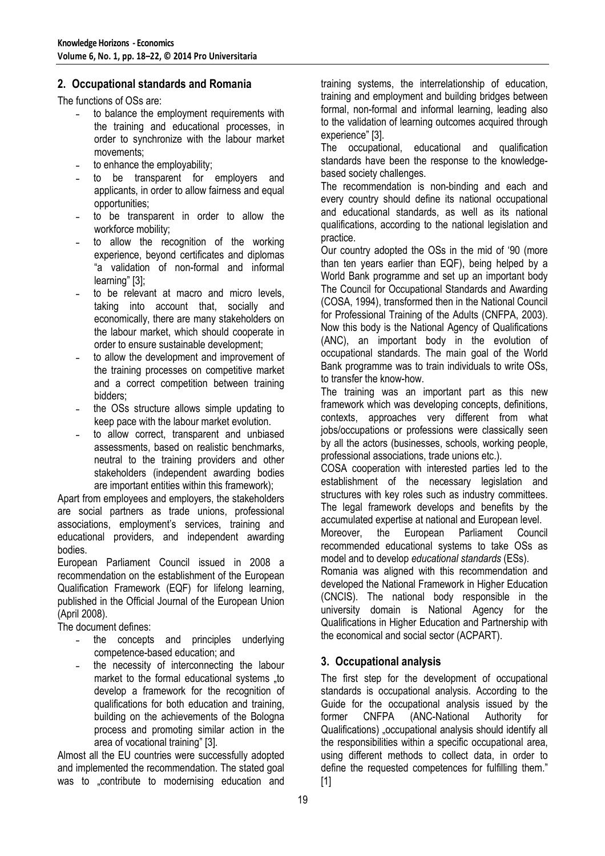#### **2. Occupational standards and Romania**

The functions of OSs are:

- to balance the employment requirements with the training and educational processes, in order to synchronize with the labour market movements;
- to enhance the employability:
- ˗ to be transparent for employers and applicants, in order to allow fairness and equal opportunities;
- ˗ to be transparent in order to allow the workforce mobility;
- to allow the recognition of the working experience, beyond certificates and diplomas "a validation of non-formal and informal learning" [3];
- ˗ to be relevant at macro and micro levels, taking into account that, socially and economically, there are many stakeholders on the labour market, which should cooperate in order to ensure sustainable development;
- ˗ to allow the development and improvement of the training processes on competitive market and a correct competition between training bidders;
- ˗ the OSs structure allows simple updating to keep pace with the labour market evolution.
- ˗ to allow correct, transparent and unbiased assessments, based on realistic benchmarks, neutral to the training providers and other stakeholders (independent awarding bodies are important entities within this framework);

Apart from employees and employers, the stakeholders are social partners as trade unions, professional associations, employment's services, training and educational providers, and independent awarding bodies.

European Parliament Council issued in 2008 a recommendation on the establishment of the European Qualification Framework (EQF) for lifelong learning, published in the Official Journal of the European Union (April 2008).

The document defines:

- ˗ the concepts and principles underlying competence-based education; and
- the necessity of interconnecting the labour market to the formal educational systems ..to develop a framework for the recognition of qualifications for both education and training, building on the achievements of the Bologna process and promoting similar action in the area of vocational training" [3].

Almost all the EU countries were successfully adopted and implemented the recommendation. The stated goal was to "contribute to modernising education and training systems, the interrelationship of education, training and employment and building bridges between formal, non-formal and informal learning, leading also to the validation of learning outcomes acquired through experience" [3].

The occupational, educational and qualification standards have been the response to the knowledgebased society challenges.

The recommendation is non-binding and each and every country should define its national occupational and educational standards, as well as its national qualifications, according to the national legislation and practice.

Our country adopted the OSs in the mid of '90 (more than ten years earlier than EQF), being helped by a World Bank programme and set up an important body The Council for Occupational Standards and Awarding (COSA, 1994), transformed then in the National Council for Professional Training of the Adults (CNFPA, 2003). Now this body is the National Agency of Qualifications (ANC), an important body in the evolution of occupational standards. The main goal of the World Bank programme was to train individuals to write OSs, to transfer the know-how.

The training was an important part as this new framework which was developing concepts, definitions, contexts, approaches very different from what jobs/occupations or professions were classically seen by all the actors (businesses, schools, working people, professional associations, trade unions etc.).

COSA cooperation with interested parties led to the establishment of the necessary legislation and structures with key roles such as industry committees. The legal framework develops and benefits by the accumulated expertise at national and European level.

Moreover, the European Parliament Council recommended educational systems to take OSs as model and to develop *educational standards* (ESs).

Romania was aligned with this recommendation and developed the National Framework in Higher Education (CNCIS). The national body responsible in the university domain is National Agency for the Qualifications in Higher Education and Partnership with the economical and social sector (ACPART).

### **3. Occupational analysis**

The first step for the development of occupational standards is occupational analysis. According to the Guide for the occupational analysis issued by the former CNFPA (ANC-National Authority for Qualifications) "occupational analysis should identify all the responsibilities within a specific occupational area, using different methods to collect data, in order to define the requested competences for fulfilling them." [1]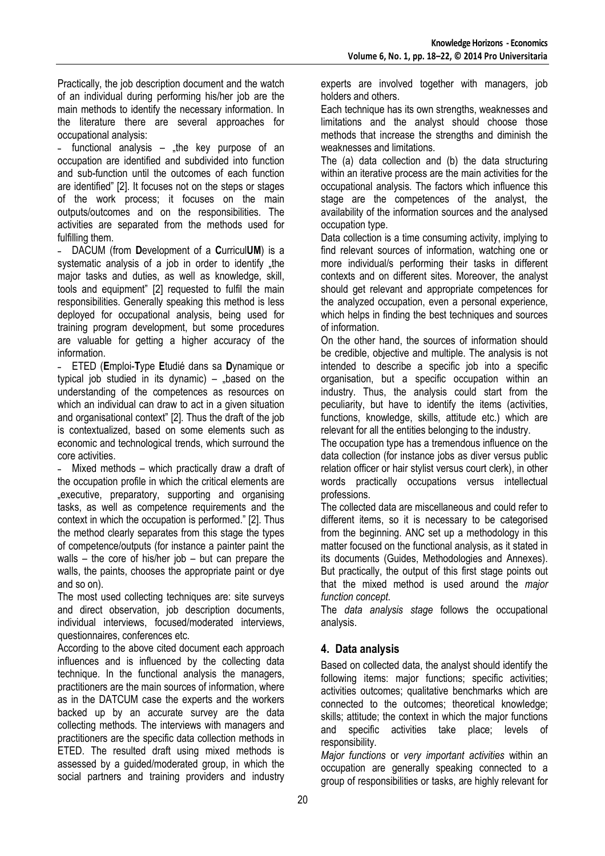Practically, the job description document and the watch of an individual during performing his/her job are the main methods to identify the necessary information. In the literature there are several approaches for occupational analysis:

functional analysis  $-$  the key purpose of an occupation are identified and subdivided into function and sub-function until the outcomes of each function are identified" [2]. It focuses not on the steps or stages of the work process; it focuses on the main outputs/outcomes and on the responsibilities. The activities are separated from the methods used for fulfilling them.

˗ DACUM (from **D**evelopment of a **C**urricul**UM**) is a systematic analysis of a job in order to identify "the major tasks and duties, as well as knowledge, skill, tools and equipment" [2] requested to fulfil the main responsibilities. Generally speaking this method is less deployed for occupational analysis, being used for training program development, but some procedures are valuable for getting a higher accuracy of the information.

˗ ETED (**E**mploi-**T**ype **E**tudié dans sa **D**ynamique or typical job studied in its dynamic)  $-$  "based on the understanding of the competences as resources on which an individual can draw to act in a given situation and organisational context" [2]. Thus the draft of the job is contextualized, based on some elements such as economic and technological trends, which surround the core activities.

Mixed methods – which practically draw a draft of the occupation profile in which the critical elements are "executive, preparatory, supporting and organising tasks, as well as competence requirements and the context in which the occupation is performed." [2]. Thus the method clearly separates from this stage the types of competence/outputs (for instance a painter paint the walls – the core of his/her job – but can prepare the walls, the paints, chooses the appropriate paint or dye and so on).

The most used collecting techniques are: site surveys and direct observation, job description documents, individual interviews, focused/moderated interviews, questionnaires, conferences etc.

According to the above cited document each approach influences and is influenced by the collecting data technique. In the functional analysis the managers, practitioners are the main sources of information, where as in the DATCUM case the experts and the workers backed up by an accurate survey are the data collecting methods. The interviews with managers and practitioners are the specific data collection methods in ETED. The resulted draft using mixed methods is assessed by a guided/moderated group, in which the social partners and training providers and industry

experts are involved together with managers, job holders and others.

Each technique has its own strengths, weaknesses and limitations and the analyst should choose those methods that increase the strengths and diminish the weaknesses and limitations.

The (a) data collection and (b) the data structuring within an iterative process are the main activities for the occupational analysis. The factors which influence this stage are the competences of the analyst, the availability of the information sources and the analysed occupation type.

Data collection is a time consuming activity, implying to find relevant sources of information, watching one or more individual/s performing their tasks in different contexts and on different sites. Moreover, the analyst should get relevant and appropriate competences for the analyzed occupation, even a personal experience, which helps in finding the best techniques and sources of information.

On the other hand, the sources of information should be credible, objective and multiple. The analysis is not intended to describe a specific job into a specific organisation, but a specific occupation within an industry. Thus, the analysis could start from the peculiarity, but have to identify the items (activities, functions, knowledge, skills, attitude etc.) which are relevant for all the entities belonging to the industry.

The occupation type has a tremendous influence on the data collection (for instance jobs as diver versus public relation officer or hair stylist versus court clerk), in other words practically occupations versus intellectual professions.

The collected data are miscellaneous and could refer to different items, so it is necessary to be categorised from the beginning. ANC set up a methodology in this matter focused on the functional analysis, as it stated in its documents (Guides, Methodologies and Annexes). But practically, the output of this first stage points out that the mixed method is used around the *major function concept*.

The *data analysis stage* follows the occupational analysis.

# **4. Data analysis**

Based on collected data, the analyst should identify the following items: major functions; specific activities; activities outcomes; qualitative benchmarks which are connected to the outcomes; theoretical knowledge; skills; attitude; the context in which the major functions and specific activities take place; levels of responsibility.

*Major functions* or *very important activities* within an occupation are generally speaking connected to a group of responsibilities or tasks, are highly relevant for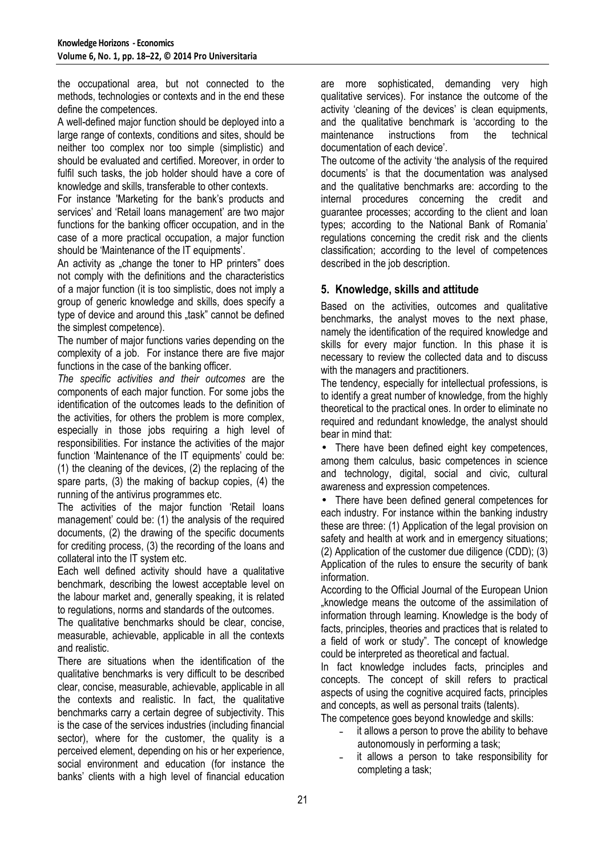the occupational area, but not connected to the methods, technologies or contexts and in the end these define the competences.

A well-defined major function should be deployed into a large range of contexts, conditions and sites, should be neither too complex nor too simple (simplistic) and should be evaluated and certified. Moreover, in order to fulfil such tasks, the job holder should have a core of knowledge and skills, transferable to other contexts.

For instance 'Marketing for the bank's products and services' and 'Retail loans management' are two major functions for the banking officer occupation, and in the case of a more practical occupation, a major function should be 'Maintenance of the IT equipments'.

An activity as "change the toner to HP printers" does not comply with the definitions and the characteristics of a major function (it is too simplistic, does not imply a group of generic knowledge and skills, does specify a type of device and around this "task" cannot be defined the simplest competence).

The number of major functions varies depending on the complexity of a job. For instance there are five major functions in the case of the banking officer.

*The specific activities and their outcomes* are the components of each major function. For some jobs the identification of the outcomes leads to the definition of the activities, for others the problem is more complex, especially in those jobs requiring a high level of responsibilities. For instance the activities of the major function 'Maintenance of the IT equipments' could be: (1) the cleaning of the devices, (2) the replacing of the spare parts, (3) the making of backup copies, (4) the running of the antivirus programmes etc.

The activities of the major function 'Retail loans management' could be: (1) the analysis of the required documents, (2) the drawing of the specific documents for crediting process, (3) the recording of the loans and collateral into the IT system etc.

Each well defined activity should have a qualitative benchmark, describing the lowest acceptable level on the labour market and, generally speaking, it is related to regulations, norms and standards of the outcomes.

The qualitative benchmarks should be clear, concise, measurable, achievable, applicable in all the contexts and realistic.

There are situations when the identification of the qualitative benchmarks is very difficult to be described clear, concise, measurable, achievable, applicable in all the contexts and realistic. In fact, the qualitative benchmarks carry a certain degree of subjectivity. This is the case of the services industries (including financial sector), where for the customer, the quality is a perceived element, depending on his or her experience, social environment and education (for instance the banks' clients with a high level of financial education

are more sophisticated, demanding very high qualitative services). For instance the outcome of the activity 'cleaning of the devices' is clean equipments, and the qualitative benchmark is 'according to the maintenance instructions from the technical documentation of each device'.

The outcome of the activity 'the analysis of the required documents' is that the documentation was analysed and the qualitative benchmarks are: according to the internal procedures concerning the credit and guarantee processes; according to the client and loan types; according to the National Bank of Romania' regulations concerning the credit risk and the clients classification; according to the level of competences described in the job description.

## **5. Knowledge, skills and attitude**

Based on the activities, outcomes and qualitative benchmarks, the analyst moves to the next phase, namely the identification of the required knowledge and skills for every major function. In this phase it is necessary to review the collected data and to discuss with the managers and practitioners.

The tendency, especially for intellectual professions, is to identify a great number of knowledge, from the highly theoretical to the practical ones. In order to eliminate no required and redundant knowledge, the analyst should bear in mind that:

• There have been defined eight key competences, among them calculus, basic competences in science and technology, digital, social and civic, cultural awareness and expression competences.

There have been defined general competences for each industry. For instance within the banking industry these are three: (1) Application of the legal provision on safety and health at work and in emergency situations; (2) Application of the customer due diligence (CDD); (3) Application of the rules to ensure the security of bank information.

According to the Official Journal of the European Union "knowledge means the outcome of the assimilation of information through learning. Knowledge is the body of facts, principles, theories and practices that is related to a field of work or study". The concept of knowledge could be interpreted as theoretical and factual.

In fact knowledge includes facts, principles and concepts. The concept of skill refers to practical aspects of using the cognitive acquired facts, principles and concepts, as well as personal traits (talents).

The competence goes beyond knowledge and skills:

- ˗ it allows a person to prove the ability to behave autonomously in performing a task;
- ˗ it allows a person to take responsibility for completing a task;